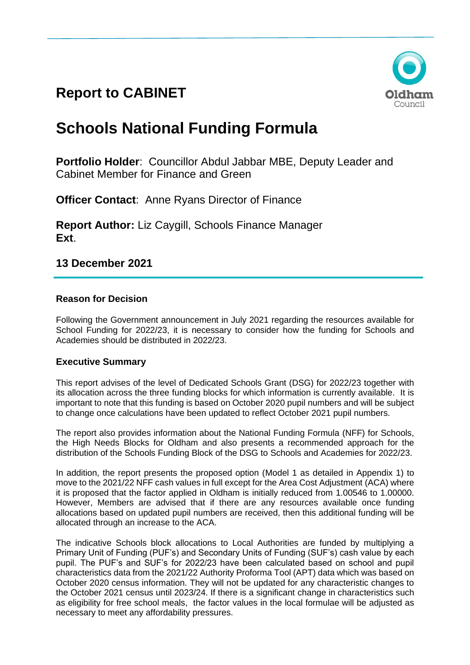# **Report to CABINET**



# **Schools National Funding Formula**

**Portfolio Holder**: Councillor Abdul Jabbar MBE, Deputy Leader and Cabinet Member for Finance and Green

**Officer Contact:** Anne Ryans Director of Finance

**Report Author:** Liz Caygill, Schools Finance Manager **Ext**.

**13 December 2021**

# **Reason for Decision**

Following the Government announcement in July 2021 regarding the resources available for School Funding for 2022/23, it is necessary to consider how the funding for Schools and Academies should be distributed in 2022/23.

# **Executive Summary**

This report advises of the level of Dedicated Schools Grant (DSG) for 2022/23 together with its allocation across the three funding blocks for which information is currently available. It is important to note that this funding is based on October 2020 pupil numbers and will be subject to change once calculations have been updated to reflect October 2021 pupil numbers.

The report also provides information about the National Funding Formula (NFF) for Schools, the High Needs Blocks for Oldham and also presents a recommended approach for the distribution of the Schools Funding Block of the DSG to Schools and Academies for 2022/23.

In addition, the report presents the proposed option (Model 1 as detailed in Appendix 1) to move to the 2021/22 NFF cash values in full except for the Area Cost Adjustment (ACA) where it is proposed that the factor applied in Oldham is initially reduced from 1.00546 to 1.00000. However, Members are advised that if there are any resources available once funding allocations based on updated pupil numbers are received, then this additional funding will be allocated through an increase to the ACA.

The indicative Schools block allocations to Local Authorities are funded by multiplying a Primary Unit of Funding (PUF's) and Secondary Units of Funding (SUF's) cash value by each pupil. The PUF's and SUF's for 2022/23 have been calculated based on school and pupil characteristics data from the 2021/22 Authority Proforma Tool (APT) data which was based on October 2020 census information. They will not be updated for any characteristic changes to the October 2021 census until 2023/24. If there is a significant change in characteristics such as eligibility for free school meals, the factor values in the local formulae will be adjusted as necessary to meet any affordability pressures.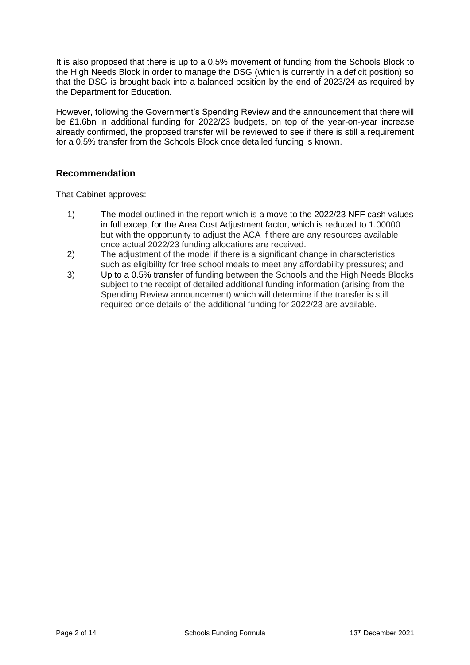It is also proposed that there is up to a 0.5% movement of funding from the Schools Block to the High Needs Block in order to manage the DSG (which is currently in a deficit position) so that the DSG is brought back into a balanced position by the end of 2023/24 as required by the Department for Education.

However, following the Government's Spending Review and the announcement that there will be £1.6bn in additional funding for 2022/23 budgets, on top of the year-on-year increase already confirmed, the proposed transfer will be reviewed to see if there is still a requirement for a 0.5% transfer from the Schools Block once detailed funding is known.

# **Recommendation**

That Cabinet approves:

- 1) The model outlined in the report which is a move to the 2022/23 NFF cash values in full except for the Area Cost Adjustment factor, which is reduced to 1.00000 but with the opportunity to adjust the ACA if there are any resources available once actual 2022/23 funding allocations are received.
- 2) The adjustment of the model if there is a significant change in characteristics such as eligibility for free school meals to meet any affordability pressures; and
- 3) Up to a 0.5% transfer of funding between the Schools and the High Needs Blocks subject to the receipt of detailed additional funding information (arising from the Spending Review announcement) which will determine if the transfer is still required once details of the additional funding for 2022/23 are available.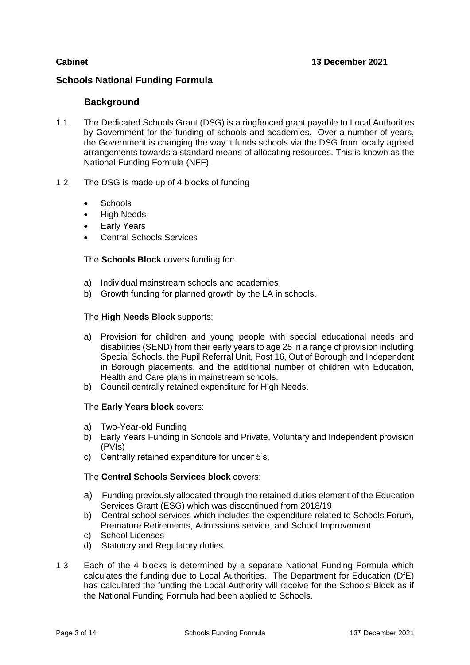## **Schools National Funding Formula**

# **Background**

- 1.1 The Dedicated Schools Grant (DSG) is a ringfenced grant payable to Local Authorities by Government for the funding of schools and academies. Over a number of years, the Government is changing the way it funds schools via the DSG from locally agreed arrangements towards a standard means of allocating resources. This is known as the National Funding Formula (NFF).
- 1.2 The DSG is made up of 4 blocks of funding
	- Schools
	- High Needs
	- Early Years
	- Central Schools Services

The **Schools Block** covers funding for:

- a) Individual mainstream schools and academies
- b) Growth funding for planned growth by the LA in schools.

#### The **High Needs Block** supports:

- a) Provision for children and young people with special educational needs and disabilities (SEND) from their early years to age 25 in a range of provision including Special Schools, the Pupil Referral Unit, Post 16, Out of Borough and Independent in Borough placements, and the additional number of children with Education, Health and Care plans in mainstream schools.
- b) Council centrally retained expenditure for High Needs.

#### The **Early Years block** covers:

- a) Two-Year-old Funding
- b) Early Years Funding in Schools and Private, Voluntary and Independent provision (PVIs)
- c) Centrally retained expenditure for under 5's.

#### The **Central Schools Services block** covers:

- a) Funding previously allocated through the retained duties element of the Education Services Grant (ESG) which was discontinued from 2018/19
- b) Central school services which includes the expenditure related to Schools Forum, Premature Retirements, Admissions service, and School Improvement
- c) School Licenses
- d) Statutory and Regulatory duties.
- 1.3 Each of the 4 blocks is determined by a separate National Funding Formula which calculates the funding due to Local Authorities. The Department for Education (DfE) has calculated the funding the Local Authority will receive for the Schools Block as if the National Funding Formula had been applied to Schools.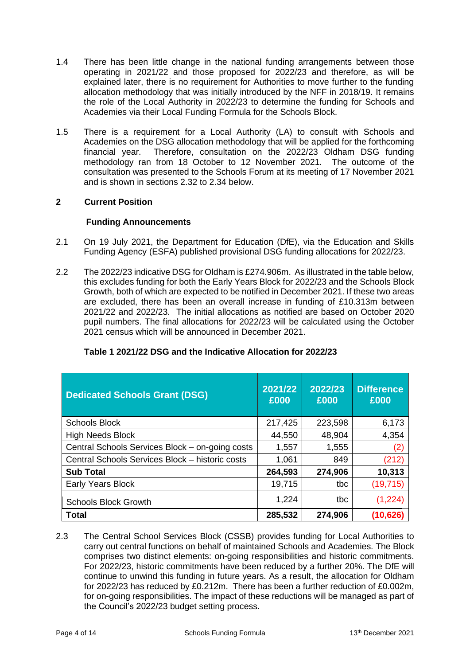- 1.4 There has been little change in the national funding arrangements between those operating in 2021/22 and those proposed for 2022/23 and therefore, as will be explained later, there is no requirement for Authorities to move further to the funding allocation methodology that was initially introduced by the NFF in 2018/19. It remains the role of the Local Authority in 2022/23 to determine the funding for Schools and Academies via their Local Funding Formula for the Schools Block.
- 1.5 There is a requirement for a Local Authority (LA) to consult with Schools and Academies on the DSG allocation methodology that will be applied for the forthcoming financial year. Therefore, consultation on the 2022/23 Oldham DSG funding methodology ran from 18 October to 12 November 2021. The outcome of the consultation was presented to the Schools Forum at its meeting of 17 November 2021 and is shown in sections 2.32 to 2.34 below.

# **2 Current Position**

#### **Funding Announcements**

- 2.1 On 19 July 2021, the Department for Education (DfE), via the Education and Skills Funding Agency (ESFA) published provisional DSG funding allocations for 2022/23.
- 2.2 The 2022/23 indicative DSG for Oldham is £274.906m. As illustrated in the table below, this excludes funding for both the Early Years Block for 2022/23 and the Schools Block Growth, both of which are expected to be notified in December 2021. If these two areas are excluded, there has been an overall increase in funding of £10.313m between 2021/22 and 2022/23. The initial allocations as notified are based on October 2020 pupil numbers. The final allocations for 2022/23 will be calculated using the October 2021 census which will be announced in December 2021.

| <b>Dedicated Schools Grant (DSG)</b>            | 2021/22<br>£000 | 2022/23<br>£000 | <b>Difference</b><br>£000 |
|-------------------------------------------------|-----------------|-----------------|---------------------------|
| <b>Schools Block</b>                            | 217,425         | 223,598         | 6,173                     |
| <b>High Needs Block</b>                         | 44,550          | 48,904          | 4,354                     |
| Central Schools Services Block - on-going costs | 1,557           | 1,555           | (2)                       |
| Central Schools Services Block - historic costs | 1,061           | 849             | (212)                     |
| <b>Sub Total</b>                                | 264,593         | 274,906         | 10,313                    |
| Early Years Block                               | 19,715          | tbc             | (19, 715)                 |
| <b>Schools Block Growth</b>                     | 1,224           | tbc             | (1,224)                   |
| <b>Total</b>                                    | 285,532         | 274,906         | (10, 626)                 |

# **Table 1 2021/22 DSG and the Indicative Allocation for 2022/23**

2.3 The Central School Services Block (CSSB) provides funding for Local Authorities to carry out central functions on behalf of maintained Schools and Academies. The Block comprises two distinct elements: on-going responsibilities and historic commitments. For 2022/23, historic commitments have been reduced by a further 20%. The DfE will continue to unwind this funding in future years. As a result, the allocation for Oldham for 2022/23 has reduced by £0.212m. There has been a further reduction of £0.002m, for on-going responsibilities. The impact of these reductions will be managed as part of the Council's 2022/23 budget setting process.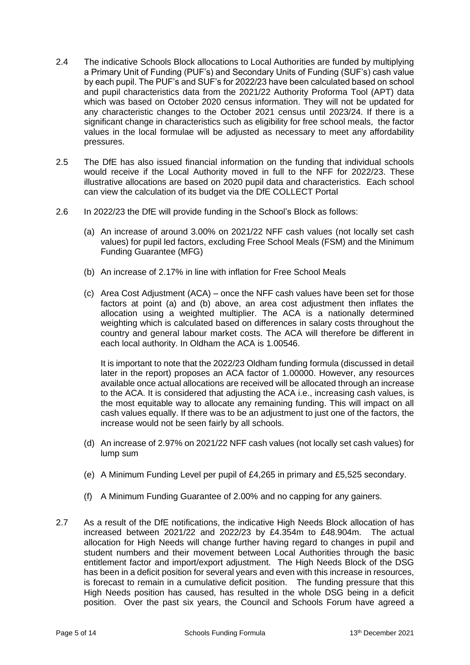- 2.4 The indicative Schools Block allocations to Local Authorities are funded by multiplying a Primary Unit of Funding (PUF's) and Secondary Units of Funding (SUF's) cash value by each pupil. The PUF's and SUF's for 2022/23 have been calculated based on school and pupil characteristics data from the 2021/22 Authority Proforma Tool (APT) data which was based on October 2020 census information. They will not be updated for any characteristic changes to the October 2021 census until 2023/24. If there is a significant change in characteristics such as eligibility for free school meals, the factor values in the local formulae will be adjusted as necessary to meet any affordability pressures.
- 2.5 The DfE has also issued financial information on the funding that individual schools would receive if the Local Authority moved in full to the NFF for 2022/23. These illustrative allocations are based on 2020 pupil data and characteristics. Each school can view the calculation of its budget via the DfE COLLECT Portal
- 2.6 In 2022/23 the DfE will provide funding in the School's Block as follows:
	- (a) An increase of around 3.00% on 2021/22 NFF cash values (not locally set cash values) for pupil led factors, excluding Free School Meals (FSM) and the Minimum Funding Guarantee (MFG)
	- (b) An increase of 2.17% in line with inflation for Free School Meals
	- (c) Area Cost Adjustment (ACA) once the NFF cash values have been set for those factors at point (a) and (b) above, an area cost adjustment then inflates the allocation using a weighted multiplier. The ACA is a nationally determined weighting which is calculated based on differences in salary costs throughout the country and general labour market costs. The ACA will therefore be different in each local authority. In Oldham the ACA is 1.00546.

It is important to note that the 2022/23 Oldham funding formula (discussed in detail later in the report) proposes an ACA factor of 1.00000. However, any resources available once actual allocations are received will be allocated through an increase to the ACA. It is considered that adjusting the ACA i.e., increasing cash values, is the most equitable way to allocate any remaining funding. This will impact on all cash values equally. If there was to be an adjustment to just one of the factors, the increase would not be seen fairly by all schools.

- (d) An increase of 2.97% on 2021/22 NFF cash values (not locally set cash values) for lump sum
- (e) A Minimum Funding Level per pupil of £4,265 in primary and £5,525 secondary.
- (f) A Minimum Funding Guarantee of 2.00% and no capping for any gainers.
- 2.7 As a result of the DfE notifications, the indicative High Needs Block allocation of has increased between 2021/22 and 2022/23 by £4.354m to £48.904m. The actual allocation for High Needs will change further having regard to changes in pupil and student numbers and their movement between Local Authorities through the basic entitlement factor and import/export adjustment. The High Needs Block of the DSG has been in a deficit position for several years and even with this increase in resources, is forecast to remain in a cumulative deficit position. The funding pressure that this High Needs position has caused, has resulted in the whole DSG being in a deficit position. Over the past six years, the Council and Schools Forum have agreed a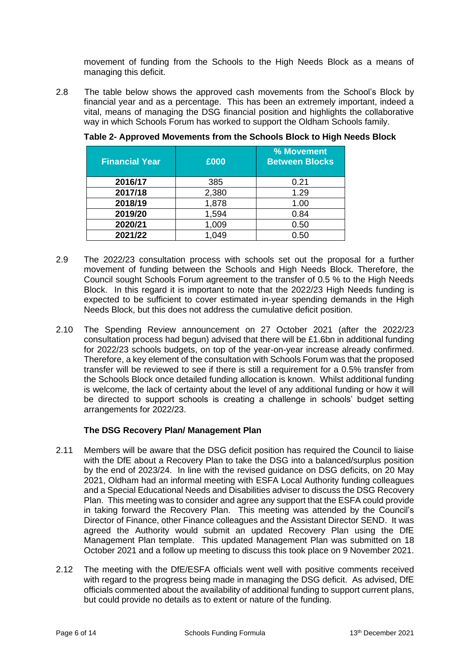movement of funding from the Schools to the High Needs Block as a means of managing this deficit.

2.8 The table below shows the approved cash movements from the School's Block by financial year and as a percentage. This has been an extremely important, indeed a vital, means of managing the DSG financial position and highlights the collaborative way in which Schools Forum has worked to support the Oldham Schools family.

| <b>Financial Year</b> | £000  | % Movement<br><b>Between Blocks</b> |
|-----------------------|-------|-------------------------------------|
| 2016/17               | 385   | 0.21                                |
| 2017/18               | 2,380 | 1.29                                |
| 2018/19               | 1,878 | 1.00                                |
| 2019/20               | 1,594 | 0.84                                |
| 2020/21               | 1,009 | 0.50                                |
| 2021/22               | 1,049 | 0.50                                |

**Table 2- Approved Movements from the Schools Block to High Needs Block**

- 2.9 The 2022/23 consultation process with schools set out the proposal for a further movement of funding between the Schools and High Needs Block. Therefore, the Council sought Schools Forum agreement to the transfer of 0.5 % to the High Needs Block. In this regard it is important to note that the 2022/23 High Needs funding is expected to be sufficient to cover estimated in-year spending demands in the High Needs Block, but this does not address the cumulative deficit position.
- 2.10 The Spending Review announcement on 27 October 2021 (after the 2022/23 consultation process had begun) advised that there will be £1.6bn in additional funding for 2022/23 schools budgets, on top of the year-on-year increase already confirmed. Therefore, a key element of the consultation with Schools Forum was that the proposed transfer will be reviewed to see if there is still a requirement for a 0.5% transfer from the Schools Block once detailed funding allocation is known. Whilst additional funding is welcome, the lack of certainty about the level of any additional funding or how it will be directed to support schools is creating a challenge in schools' budget setting arrangements for 2022/23.

#### **The DSG Recovery Plan/ Management Plan**

- 2.11 Members will be aware that the DSG deficit position has required the Council to liaise with the DfE about a Recovery Plan to take the DSG into a balanced/surplus position by the end of 2023/24. In line with the revised guidance on DSG deficits, on 20 May 2021, Oldham had an informal meeting with ESFA Local Authority funding colleagues and a Special Educational Needs and Disabilities adviser to discuss the DSG Recovery Plan. This meeting was to consider and agree any support that the ESFA could provide in taking forward the Recovery Plan. This meeting was attended by the Council's Director of Finance, other Finance colleagues and the Assistant Director SEND. It was agreed the Authority would submit an updated Recovery Plan using the DfE Management Plan template. This updated Management Plan was submitted on 18 October 2021 and a follow up meeting to discuss this took place on 9 November 2021.
- 2.12 The meeting with the DfE/ESFA officials went well with positive comments received with regard to the progress being made in managing the DSG deficit. As advised, DfE officials commented about the availability of additional funding to support current plans, but could provide no details as to extent or nature of the funding.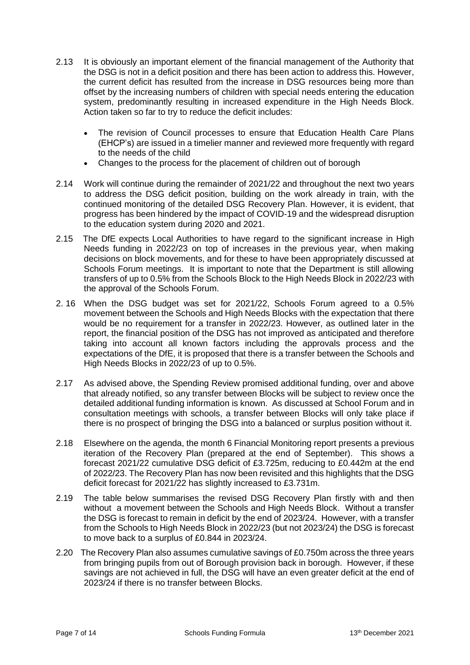- 2.13 It is obviously an important element of the financial management of the Authority that the DSG is not in a deficit position and there has been action to address this. However, the current deficit has resulted from the increase in DSG resources being more than offset by the increasing numbers of children with special needs entering the education system, predominantly resulting in increased expenditure in the High Needs Block. Action taken so far to try to reduce the deficit includes:
	- The revision of Council processes to ensure that Education Health Care Plans (EHCP's) are issued in a timelier manner and reviewed more frequently with regard to the needs of the child
	- Changes to the process for the placement of children out of borough
- 2.14 Work will continue during the remainder of 2021/22 and throughout the next two years to address the DSG deficit position, building on the work already in train, with the continued monitoring of the detailed DSG Recovery Plan. However, it is evident, that progress has been hindered by the impact of COVID-19 and the widespread disruption to the education system during 2020 and 2021.
- 2.15 The DfE expects Local Authorities to have regard to the significant increase in High Needs funding in 2022/23 on top of increases in the previous year, when making decisions on block movements, and for these to have been appropriately discussed at Schools Forum meetings. It is important to note that the Department is still allowing transfers of up to 0.5% from the Schools Block to the High Needs Block in 2022/23 with the approval of the Schools Forum.
- 2. 16 When the DSG budget was set for 2021/22, Schools Forum agreed to a 0.5% movement between the Schools and High Needs Blocks with the expectation that there would be no requirement for a transfer in 2022/23. However, as outlined later in the report, the financial position of the DSG has not improved as anticipated and therefore taking into account all known factors including the approvals process and the expectations of the DfE, it is proposed that there is a transfer between the Schools and High Needs Blocks in 2022/23 of up to 0.5%.
- 2.17 As advised above, the Spending Review promised additional funding, over and above that already notified, so any transfer between Blocks will be subject to review once the detailed additional funding information is known. As discussed at School Forum and in consultation meetings with schools, a transfer between Blocks will only take place if there is no prospect of bringing the DSG into a balanced or surplus position without it.
- 2.18 Elsewhere on the agenda, the month 6 Financial Monitoring report presents a previous iteration of the Recovery Plan (prepared at the end of September). This shows a forecast 2021/22 cumulative DSG deficit of £3.725m, reducing to £0.442m at the end of 2022/23. The Recovery Plan has now been revisited and this highlights that the DSG deficit forecast for 2021/22 has slightly increased to £3.731m.
- 2.19 The table below summarises the revised DSG Recovery Plan firstly with and then without a movement between the Schools and High Needs Block. Without a transfer the DSG is forecast to remain in deficit by the end of 2023/24. However, with a transfer from the Schools to High Needs Block in 2022/23 (but not 2023/24) the DSG is forecast to move back to a surplus of £0.844 in 2023/24.
- 2.20 The Recovery Plan also assumes cumulative savings of £0.750m across the three years from bringing pupils from out of Borough provision back in borough. However, if these savings are not achieved in full, the DSG will have an even greater deficit at the end of 2023/24 if there is no transfer between Blocks.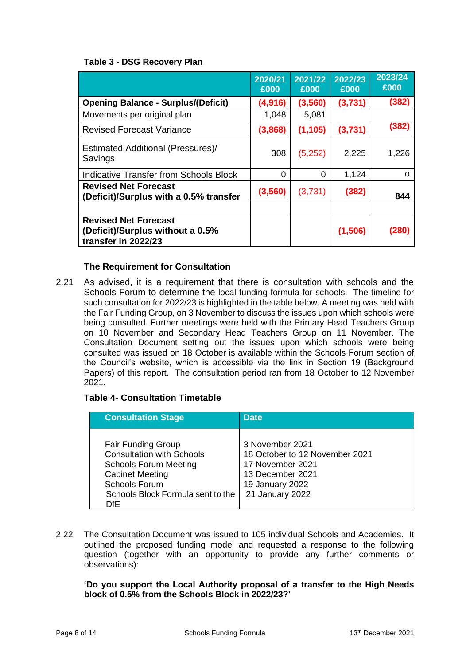#### **Table 3 - DSG Recovery Plan**

|                                                                                        | 2020/21<br>£000 | 2021/22<br>£000 | 2022/23<br>£000 | 2023/24<br>£000 |
|----------------------------------------------------------------------------------------|-----------------|-----------------|-----------------|-----------------|
| <b>Opening Balance - Surplus/(Deficit)</b>                                             | (4,916)         | (3,560)         | (3,731)         | (382)           |
| Movements per original plan                                                            | 1,048           | 5,081           |                 |                 |
| <b>Revised Forecast Variance</b>                                                       | (3,868)         | (1, 105)        | (3,731)         | (382)           |
| Estimated Additional (Pressures)/<br>Savings                                           | 308             | (5,252)         | 2,225           | 1,226           |
| <b>Indicative Transfer from Schools Block</b>                                          | 0               | 0               | 1,124           | $\Omega$        |
| <b>Revised Net Forecast</b><br>(Deficit)/Surplus with a 0.5% transfer                  | (3, 560)        | (3,731)         | (382)           | 844             |
|                                                                                        |                 |                 |                 |                 |
| <b>Revised Net Forecast</b><br>(Deficit)/Surplus without a 0.5%<br>transfer in 2022/23 |                 |                 | (1,506)         | (280)           |

#### **The Requirement for Consultation**

2.21 As advised, it is a requirement that there is consultation with schools and the Schools Forum to determine the local funding formula for schools. The timeline for such consultation for 2022/23 is highlighted in the table below. A meeting was held with the Fair Funding Group, on 3 November to discuss the issues upon which schools were being consulted. Further meetings were held with the Primary Head Teachers Group on 10 November and Secondary Head Teachers Group on 11 November. The Consultation Document setting out the issues upon which schools were being consulted was issued on 18 October is available within the Schools Forum section of the Council's website, which is accessible via the link in Section 19 (Background Papers) of this report. The consultation period ran from 18 October to 12 November 2021.

#### **Table 4- Consultation Timetable**

| <b>Consultation Stage</b>                                                                                                                                                                    | <b>Date</b>                                                                                                                     |
|----------------------------------------------------------------------------------------------------------------------------------------------------------------------------------------------|---------------------------------------------------------------------------------------------------------------------------------|
| <b>Fair Funding Group</b><br><b>Consultation with Schools</b><br><b>Schools Forum Meeting</b><br><b>Cabinet Meeting</b><br><b>Schools Forum</b><br>Schools Block Formula sent to the<br>DfF. | 3 November 2021<br>18 October to 12 November 2021<br>17 November 2021<br>13 December 2021<br>19 January 2022<br>21 January 2022 |

2.22 The Consultation Document was issued to 105 individual Schools and Academies. It outlined the proposed funding model and requested a response to the following question (together with an opportunity to provide any further comments or observations):

#### **'Do you support the Local Authority proposal of a transfer to the High Needs block of 0.5% from the Schools Block in 2022/23?'**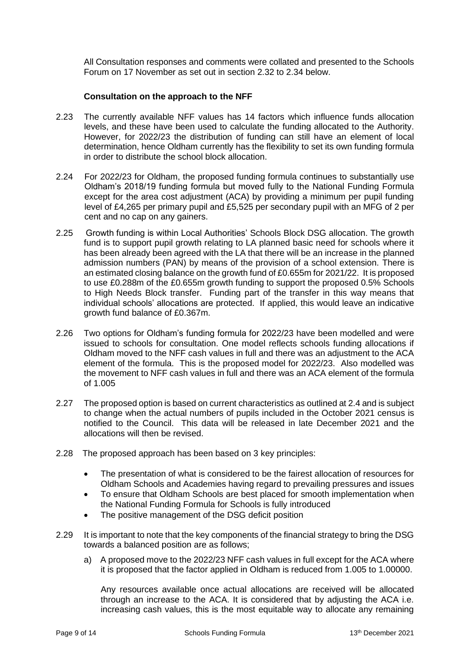All Consultation responses and comments were collated and presented to the Schools Forum on 17 November as set out in section 2.32 to 2.34 below.

#### **Consultation on the approach to the NFF**

- 2.23 The currently available NFF values has 14 factors which influence funds allocation levels, and these have been used to calculate the funding allocated to the Authority. However, for 2022/23 the distribution of funding can still have an element of local determination, hence Oldham currently has the flexibility to set its own funding formula in order to distribute the school block allocation.
- 2.24 For 2022/23 for Oldham, the proposed funding formula continues to substantially use Oldham's 2018/19 funding formula but moved fully to the National Funding Formula except for the area cost adjustment (ACA) by providing a minimum per pupil funding level of £4,265 per primary pupil and £5,525 per secondary pupil with an MFG of 2 per cent and no cap on any gainers.
- 2.25 Growth funding is within Local Authorities' Schools Block DSG allocation. The growth fund is to support pupil growth relating to LA planned basic need for schools where it has been already been agreed with the LA that there will be an increase in the planned admission numbers (PAN) by means of the provision of a school extension. There is an estimated closing balance on the growth fund of £0.655m for 2021/22. It is proposed to use £0.288m of the £0.655m growth funding to support the proposed 0.5% Schools to High Needs Block transfer. Funding part of the transfer in this way means that individual schools' allocations are protected. If applied, this would leave an indicative growth fund balance of £0.367m.
- 2.26 Two options for Oldham's funding formula for 2022/23 have been modelled and were issued to schools for consultation. One model reflects schools funding allocations if Oldham moved to the NFF cash values in full and there was an adjustment to the ACA element of the formula. This is the proposed model for 2022/23. Also modelled was the movement to NFF cash values in full and there was an ACA element of the formula of 1.005
- 2.27 The proposed option is based on current characteristics as outlined at 2.4 and is subject to change when the actual numbers of pupils included in the October 2021 census is notified to the Council. This data will be released in late December 2021 and the allocations will then be revised.
- 2.28 The proposed approach has been based on 3 key principles:
	- The presentation of what is considered to be the fairest allocation of resources for Oldham Schools and Academies having regard to prevailing pressures and issues
	- To ensure that Oldham Schools are best placed for smooth implementation when the National Funding Formula for Schools is fully introduced
	- The positive management of the DSG deficit position
- 2.29 It is important to note that the key components of the financial strategy to bring the DSG towards a balanced position are as follows;
	- a) A proposed move to the 2022/23 NFF cash values in full except for the ACA where it is proposed that the factor applied in Oldham is reduced from 1.005 to 1.00000.

Any resources available once actual allocations are received will be allocated through an increase to the ACA. It is considered that by adjusting the ACA i.e. increasing cash values, this is the most equitable way to allocate any remaining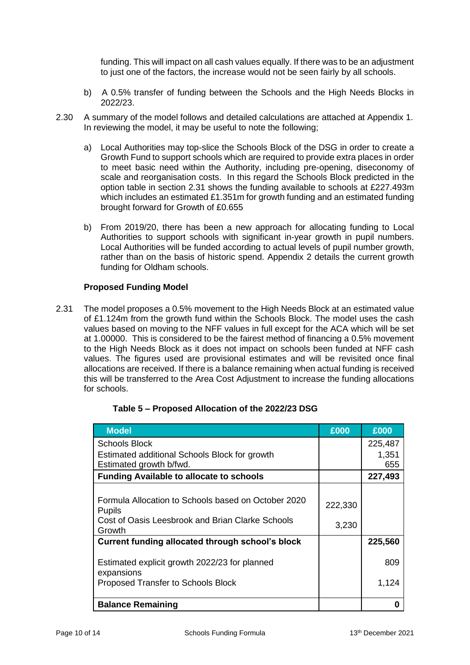funding. This will impact on all cash values equally. If there was to be an adjustment to just one of the factors, the increase would not be seen fairly by all schools.

- b) A 0.5% transfer of funding between the Schools and the High Needs Blocks in 2022/23.
- 2.30 A summary of the model follows and detailed calculations are attached at Appendix 1. In reviewing the model, it may be useful to note the following;
	- a) Local Authorities may top-slice the Schools Block of the DSG in order to create a Growth Fund to support schools which are required to provide extra places in order to meet basic need within the Authority, including pre-opening, diseconomy of scale and reorganisation costs. In this regard the Schools Block predicted in the option table in section 2.31 shows the funding available to schools at £227.493m which includes an estimated £1.351m for growth funding and an estimated funding brought forward for Growth of £0.655
	- b) From 2019/20, there has been a new approach for allocating funding to Local Authorities to support schools with significant in-year growth in pupil numbers. Local Authorities will be funded according to actual levels of pupil number growth, rather than on the basis of historic spend. Appendix 2 details the current growth funding for Oldham schools.

#### **Proposed Funding Model**

2.31 The model proposes a 0.5% movement to the High Needs Block at an estimated value of £1.124m from the growth fund within the Schools Block. The model uses the cash values based on moving to the NFF values in full except for the ACA which will be set at 1.00000. This is considered to be the fairest method of financing a 0.5% movement to the High Needs Block as it does not impact on schools been funded at NFF cash values. The figures used are provisional estimates and will be revisited once final allocations are received. If there is a balance remaining when actual funding is received this will be transferred to the Area Cost Adjustment to increase the funding allocations for schools.

| <b>Model</b>                                        | £000    | £000    |
|-----------------------------------------------------|---------|---------|
| <b>Schools Block</b>                                |         | 225,487 |
| Estimated additional Schools Block for growth       |         | 1,351   |
| Estimated growth b/fwd.                             |         | 655     |
| <b>Funding Available to allocate to schools</b>     |         | 227,493 |
|                                                     |         |         |
| Formula Allocation to Schools based on October 2020 | 222,330 |         |
| <b>Pupils</b>                                       |         |         |
| Cost of Oasis Leesbrook and Brian Clarke Schools    | 3,230   |         |
| Growth                                              |         |         |
| Current funding allocated through school's block    |         | 225,560 |
| Estimated explicit growth 2022/23 for planned       |         | 809     |
| expansions                                          |         |         |
| Proposed Transfer to Schools Block                  |         | 1,124   |
|                                                     |         |         |
| <b>Balance Remaining</b>                            |         | 0       |

#### **Table 5 – Proposed Allocation of the 2022/23 DSG**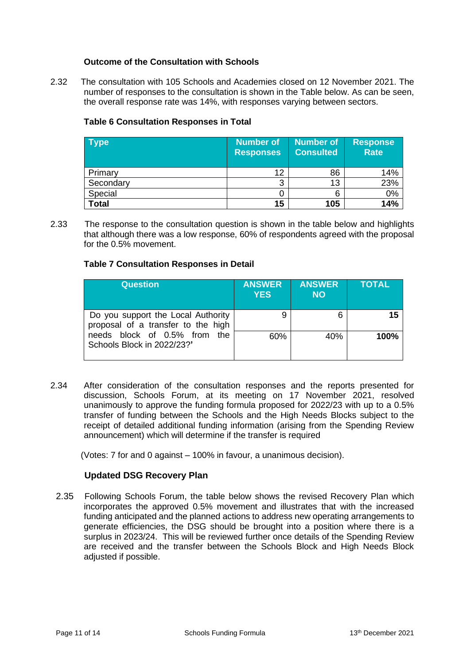#### **Outcome of the Consultation with Schools**

2.32 The consultation with 105 Schools and Academies closed on 12 November 2021. The number of responses to the consultation is shown in the Table below. As can be seen, the overall response rate was 14%, with responses varying between sectors.

## **Table 6 Consultation Responses in Total**

| Type         | <b>Number of</b><br><b>Responses</b> | <b>Number of</b><br><b>Consulted</b> | Response<br><b>Rate</b> |
|--------------|--------------------------------------|--------------------------------------|-------------------------|
| Primary      | 12                                   | 86                                   | 14%                     |
| Secondary    | 3                                    | 13                                   | 23%                     |
| Special      |                                      |                                      | 0%                      |
| <b>Total</b> | 15                                   | 105                                  | 14%                     |

2.33 The response to the consultation question is shown in the table below and highlights that although there was a low response, 60% of respondents agreed with the proposal for the 0.5% movement.

#### **Table 7 Consultation Responses in Detail**

| <b>Question</b>                                                                                                                        | <b>ANSWER</b><br><b>YES</b> | <b>ANSWER</b><br><b>NO</b> | <b>TOTAL</b> |
|----------------------------------------------------------------------------------------------------------------------------------------|-----------------------------|----------------------------|--------------|
| Do you support the Local Authority<br>proposal of a transfer to the high<br>needs block of 0.5% from the<br>Schools Block in 2022/23?' | 9                           | 6                          | 15           |
|                                                                                                                                        | 60%                         | 40%                        | 100%         |

2.34 After consideration of the consultation responses and the reports presented for discussion, Schools Forum, at its meeting on 17 November 2021, resolved unanimously to approve the funding formula proposed for 2022/23 with up to a 0.5% transfer of funding between the Schools and the High Needs Blocks subject to the receipt of detailed additional funding information (arising from the Spending Review announcement) which will determine if the transfer is required

(Votes: 7 for and 0 against – 100% in favour, a unanimous decision).

#### **Updated DSG Recovery Plan**

2.35Following Schools Forum, the table below shows the revised Recovery Plan which incorporates the approved 0.5% movement and illustrates that with the increased funding anticipated and the planned actions to address new operating arrangements to generate efficiencies, the DSG should be brought into a position where there is a surplus in 2023/24. This will be reviewed further once details of the Spending Review are received and the transfer between the Schools Block and High Needs Block adjusted if possible.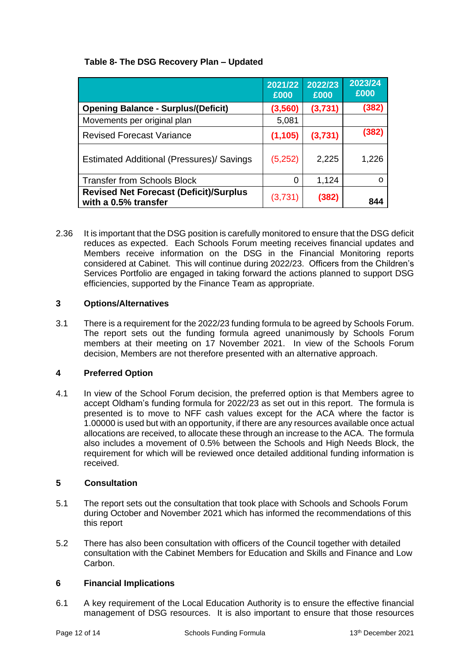# **Table 8- The DSG Recovery Plan – Updated**

|                                                                       | 2021/22<br>£000 | 2022/23<br>£000 | 2023/24<br>£000 |
|-----------------------------------------------------------------------|-----------------|-----------------|-----------------|
| <b>Opening Balance - Surplus/(Deficit)</b>                            | (3, 560)        | (3,731)         | (382)           |
| Movements per original plan                                           | 5,081           |                 |                 |
| <b>Revised Forecast Variance</b>                                      | (1, 105)        | (3,731)         | (382)           |
| Estimated Additional (Pressures)/ Savings                             | (5,252)         | 2,225           | 1,226           |
| <b>Transfer from Schools Block</b>                                    | $\Omega$        | 1,124           | Ω               |
| <b>Revised Net Forecast (Deficit)/Surplus</b><br>with a 0.5% transfer | (3,731)         | (382)           | 844             |

2.36 It is important that the DSG position is carefully monitored to ensure that the DSG deficit reduces as expected. Each Schools Forum meeting receives financial updates and Members receive information on the DSG in the Financial Monitoring reports considered at Cabinet. This will continue during 2022/23. Officers from the Children's Services Portfolio are engaged in taking forward the actions planned to support DSG efficiencies, supported by the Finance Team as appropriate.

# **3 Options/Alternatives**

3.1 There is a requirement for the 2022/23 funding formula to be agreed by Schools Forum. The report sets out the funding formula agreed unanimously by Schools Forum members at their meeting on 17 November 2021. In view of the Schools Forum decision, Members are not therefore presented with an alternative approach.

# **4 Preferred Option**

4.1 In view of the School Forum decision, the preferred option is that Members agree to accept Oldham's funding formula for 2022/23 as set out in this report. The formula is presented is to move to NFF cash values except for the ACA where the factor is 1.00000 is used but with an opportunity, if there are any resources available once actual allocations are received, to allocate these through an increase to the ACA. The formula also includes a movement of 0.5% between the Schools and High Needs Block, the requirement for which will be reviewed once detailed additional funding information is received.

## **5 Consultation**

- 5.1 The report sets out the consultation that took place with Schools and Schools Forum during October and November 2021 which has informed the recommendations of this this report
- 5.2 There has also been consultation with officers of the Council together with detailed consultation with the Cabinet Members for Education and Skills and Finance and Low Carbon.

#### **6 Financial Implications**

6.1 A key requirement of the Local Education Authority is to ensure the effective financial management of DSG resources. It is also important to ensure that those resources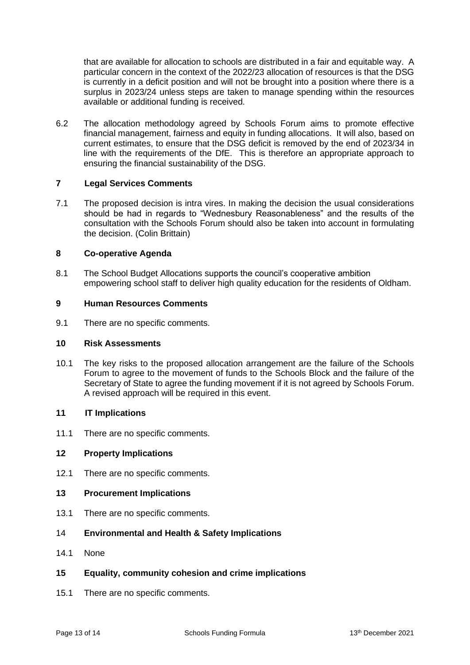that are available for allocation to schools are distributed in a fair and equitable way. A particular concern in the context of the 2022/23 allocation of resources is that the DSG is currently in a deficit position and will not be brought into a position where there is a surplus in 2023/24 unless steps are taken to manage spending within the resources available or additional funding is received.

6.2 The allocation methodology agreed by Schools Forum aims to promote effective financial management, fairness and equity in funding allocations. It will also, based on current estimates, to ensure that the DSG deficit is removed by the end of 2023/34 in line with the requirements of the DfE. This is therefore an appropriate approach to ensuring the financial sustainability of the DSG.

#### **7 Legal Services Comments**

7.1 The proposed decision is intra vires. In making the decision the usual considerations should be had in regards to "Wednesbury Reasonableness" and the results of the consultation with the Schools Forum should also be taken into account in formulating the decision. (Colin Brittain)

#### **8 Co-operative Agenda**

8.1 The School Budget Allocations supports the council's cooperative ambition empowering school staff to deliver high quality education for the residents of Oldham.

#### **9 Human Resources Comments**

9.1 There are no specific comments.

#### **10 Risk Assessments**

10.1 The key risks to the proposed allocation arrangement are the failure of the Schools Forum to agree to the movement of funds to the Schools Block and the failure of the Secretary of State to agree the funding movement if it is not agreed by Schools Forum. A revised approach will be required in this event.

#### **11 IT Implications**

11.1 There are no specific comments.

#### **12 Property Implications**

12.1 There are no specific comments.

#### **13 Procurement Implications**

13.1 There are no specific comments.

#### 14 **Environmental and Health & Safety Implications**

- 14.1 None
- **15 Equality, community cohesion and crime implications**
- 15.1 There are no specific comments.